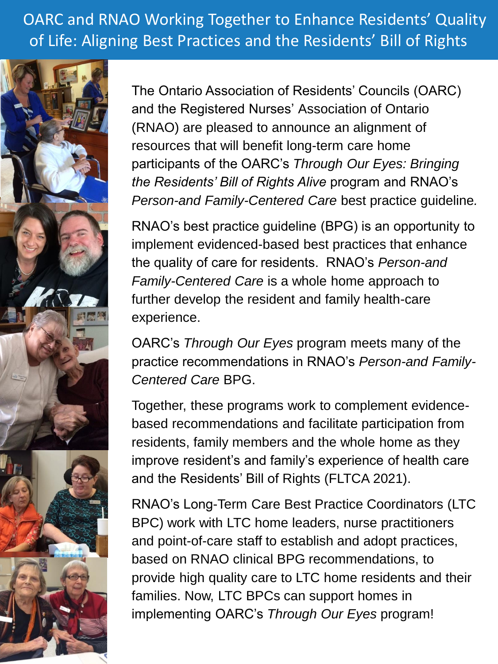OARC and RNAO Working Together to Enhance Residents' Quality of Life: Aligning Best Practices and the Residents' Bill of Rights



The Ontario Association of Residents' Councils (OARC) and the Registered Nurses' Association of Ontario (RNAO) are pleased to announce an alignment of resources that will benefit long-term care home participants of the OARC's *Through Our Eyes: Bringing the Residents' Bill of Rights Alive* program and RNAO's *Person-and Family-Centered Care* best practice guideline*.*

RNAO's best practice guideline (BPG) is an opportunity to implement evidenced-based best practices that enhance the quality of care for residents. RNAO's *Person-and Family-Centered Care* is a whole home approach to further develop the resident and family health-care experience.

OARC's *Through Our Eyes* program meets many of the practice recommendations in RNAO's *Person-and Family-Centered Care* BPG.

Together, these programs work to complement evidencebased recommendations and facilitate participation from residents, family members and the whole home as they improve resident's and family's experience of health care and the Residents' Bill of Rights (FLTCA 2021).

RNAO's Long-Term Care Best Practice Coordinators (LTC BPC) work with LTC home leaders, nurse practitioners and point-of-care staff to establish and adopt practices, based on RNAO clinical BPG recommendations, to provide high quality care to LTC home residents and their families. Now, LTC BPCs can support homes in implementing OARC's *Through Our Eyes* program!